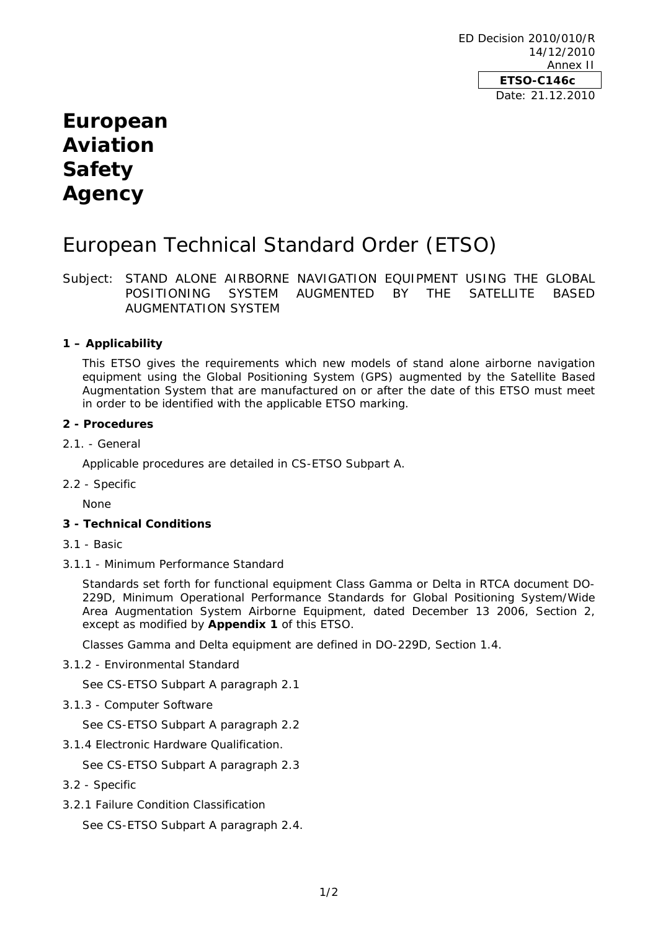ED Decision 2010/010/R 14/12/2010 Annex II **ETSO-C146c**  Date: 21.12.2010

# **European Aviation Safety Agency**

# European Technical Standard Order (ETSO)

Subject: STAND ALONE AIRBORNE NAVIGATION EQUIPMENT USING THE GLOBAL POSITIONING SYSTEM AUGMENTED BY THE SATELLITE BASED AUGMENTATION SYSTEM

# **1 – Applicability**

This ETSO gives the requirements which new models of stand alone airborne navigation equipment using the Global Positioning System (GPS) augmented by the Satellite Based Augmentation System that are manufactured on or after the date of this ETSO must meet in order to be identified with the applicable ETSO marking.

#### **2 - Procedures**

## 2.1. - General

Applicable procedures are detailed in CS-ETSO Subpart A.

2.2 - Specific

None

## **3 - Technical Conditions**

- 3.1 Basic
- 3.1.1 Minimum Performance Standard

Standards set forth for functional equipment Class Gamma or Delta in RTCA document DO-229D, *Minimum Operational Performance Standards for Global Positioning System/Wide Area Augmentation System Airborne Equipment*, dated December 13 2006, Section 2, except as modified by **Appendix 1** of this ETSO.

Classes Gamma and Delta equipment are defined in DO-229D, Section 1.4.

3.1.2 - Environmental Standard

See CS-ETSO Subpart A paragraph 2.1

3.1.3 - Computer Software

See CS-ETSO Subpart A paragraph 2.2

3.1.4 Electronic Hardware Qualification.

See CS-ETSO Subpart A paragraph 2.3

- 3.2 Specific
- 3.2.1 Failure Condition Classification

See CS-ETSO Subpart A paragraph 2.4.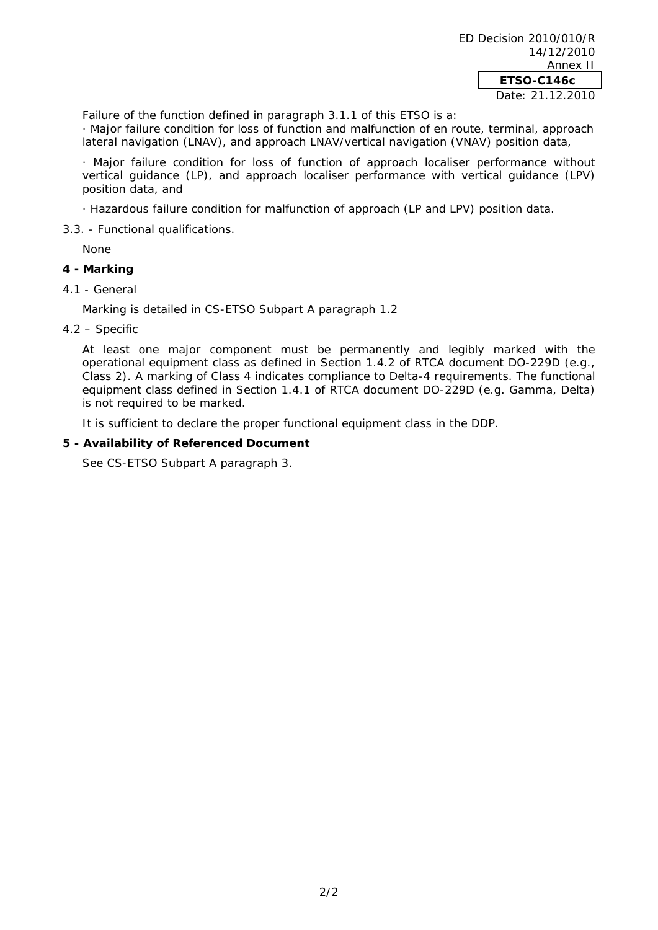Failure of the function defined in paragraph 3.1.1 of this ETSO is a:

· *Major* failure condition for loss of function and malfunction of en route, terminal, approach lateral navigation (LNAV), and approach LNAV/vertical navigation (VNAV) position data,

· *Major* failure condition for loss of function of approach localiser performance without vertical guidance (LP), and approach localiser performance with vertical guidance (LPV) position data, and

- · *Hazardous* failure condition for malfunction of approach (LP and LPV) position data.
- 3.3. Functional qualifications.

None

# **4 - Marking**

4.1 - General

Marking is detailed in CS-ETSO Subpart A paragraph 1.2

4.2 – Specific

At least one major component must be permanently and legibly marked with the operational equipment class as defined in Section 1.4.2 of RTCA document DO-229D (e.g., Class 2). A marking of Class 4 indicates compliance to Delta-4 requirements. The functional equipment class defined in Section 1.4.1 of RTCA document DO-229D (e.g. Gamma, Delta) is not required to be marked.

It is sufficient to declare the proper functional equipment class in the DDP.

# **5 - Availability of Referenced Document**

See CS-ETSO Subpart A paragraph 3.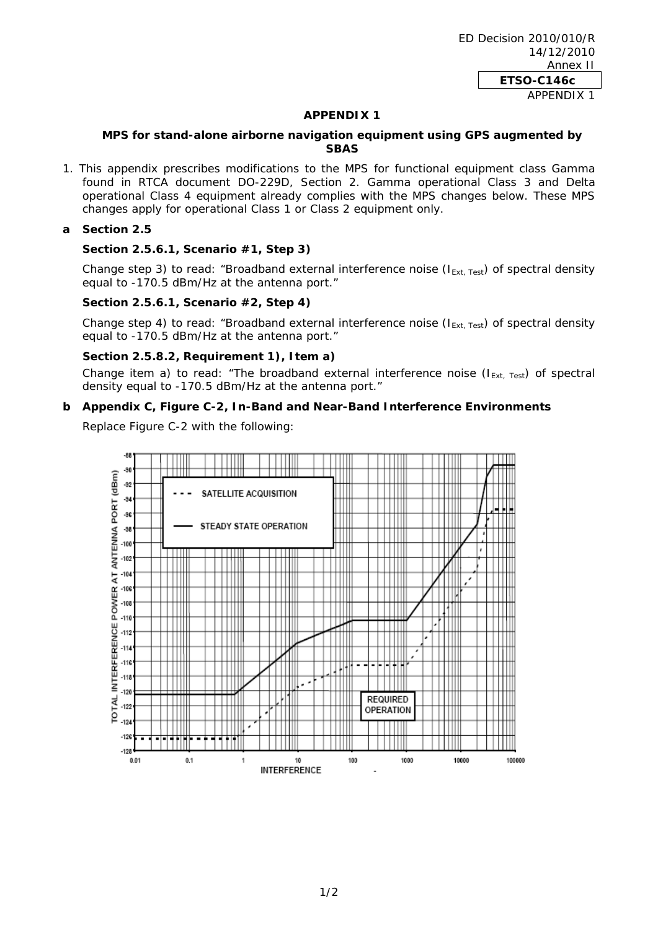#### **APPENDIX 1**

## **MPS for stand-alone airborne navigation equipment using GPS augmented by SBAS**

1. This appendix prescribes modifications to the MPS for functional equipment class Gamma found in RTCA document DO-229D, Section 2. Gamma operational Class 3 and Delta operational Class 4 equipment already complies with the MPS changes below. These MPS changes apply for operational Class 1 or Class 2 equipment only.

#### **a Section 2.5**

## **Section 2.5.6.1, Scenario #1, Step 3)**

Change step 3) to read: "Broadband external interference noise ( $I_{Ext, Test}$ ) of spectral density equal to -170.5 dBm/Hz at the antenna port."

#### **Section 2.5.6.1, Scenario #2, Step 4)**

Change step 4) to read: "Broadband external interference noise ( $I_{Ext, Test}$ ) of spectral density equal to -170.5 dBm/Hz at the antenna port."

#### **Section 2.5.8.2, Requirement 1), Item a)**

Change item a) to read: "The broadband external interference noise  $(I_{Ext, Test})$  of spectral density equal to -170.5 dBm/Hz at the antenna port."

#### **b Appendix C, Figure C-2, In-Band and Near-Band Interference Environments**

Replace Figure C-2 with the following: